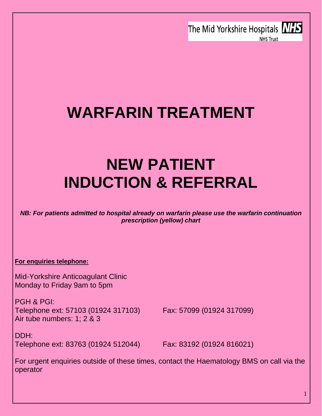The Mid Yorkshire Hospitals **NHS NHS Trust** 



# **NEW PATIENT INDUCTION & REFERRAL**

*NB: For patients admitted to hospital already on warfarin please use the warfarin continuation prescription (yellow) chart*

**For enquiries telephone:**

Mid-Yorkshire Anticoagulant Clinic Monday to Friday 9am to 5pm

PGH & PGI: Telephone ext: 57103 (01924 317103) Fax: 57099 (01924 317099) Air tube numbers: 1; 2 & 3

DDH: Telephone ext: 83763 (01924 512044) Fax: 83192 (01924 816021)

For urgent enquiries outside of these times, contact the Haematology BMS on call via the operator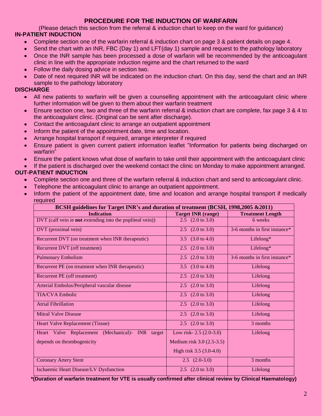#### **PROCEDURE FOR THE INDUCTION OF WARFARIN**

(Please detach this section from the referral & induction chart to keep on the ward for guidance)

#### **IN-PATIENT INDUCTION**

- Complete section one of the warfarin referral & induction chart on page 3 & patient details on page 4.  $\bullet$
- Send the chart with an INR, FBC (Day 1) and LFT(day 1) sample and request to the pathology laboratory
- Once the INR sample has been processed a dose of warfarin will be recommended by the anticoagulant  $\bullet$ clinic in line with the appropriate induction regime and the chart returned to the ward
- Follow the daily dosing advice in section two.
- Date of next required INR will be indicated on the induction chart. On this day, send the chart and an INR sample to the pathology laboratory

#### **DISCHARGE**

- All new patients to warfarin will be given a counselling appointment with the anticoagulant clinic where  $\bullet$ further information will be given to them about their warfarin treatment
- Ensure section one, two and three of the warfarin referral & induction chart are complete, fax page 3 & 4 to  $\bullet$ the anticoagulant clinic. (Original can be sent after discharge).
- Contact the anticoagulant clinic to arrange an outpatient appointment  $\bullet$
- Inform the patient of the appointment date, time and location.  $\bullet$
- Arrange hospital transport if required, arrange interpreter if required
- Ensure patient is given current patient information leaflet "Information for patients being discharged on warfarin"
- Ensure the patient knows what dose of warfarin to take until their appointment with the anticoagulant clinic

If the patient is discharged over the weekend contact the clinic on Monday to make appointment arranged.

#### **OUT-PATIENT INDUCTION**

- Complete section one and three of the warfarin referral & induction chart and send to anticoagulant clinic.  $\bullet$
- Telephone the anticoagulant clinic to arrange an outpatient appointment.
- Inform the patient of the appointment date, time and location and arrange hospital transport if medically required

| BCSH guidelines for Target INR's and duration of treatment (BCSH, 1998,2005 & 2011) |                             |                               |  |  |  |
|-------------------------------------------------------------------------------------|-----------------------------|-------------------------------|--|--|--|
| <b>Indication</b>                                                                   | <b>Target INR (range)</b>   | <b>Treatment Length</b>       |  |  |  |
| DVT (calf vein ie <b>not</b> extending into the popliteal vein))                    | 2.5 $(2.0 \text{ to } 3.0)$ | 6 weeks                       |  |  |  |
| DVT (proximal vein)                                                                 | 2.5 $(2.0 \text{ to } 3.0)$ | 3-6 months in first instance* |  |  |  |
| Recurrent DVT (on treatment when INR therapeutic)                                   | 3.5 $(3.0 \text{ to } 4.0)$ | Lifelong $*$                  |  |  |  |
| Recurrent DVT (off treatment)                                                       | 2.5 $(2.0 \text{ to } 3.0)$ | Lifelong*                     |  |  |  |
| <b>Pulmonary Embolism</b>                                                           | 2.5 $(2.0 \text{ to } 3.0)$ | 3-6 months in first instance* |  |  |  |
| Recurrent PE (on treatment when INR therapeutic)                                    | 3.5 $(3.0 \text{ to } 4.0)$ | Lifelong                      |  |  |  |
| Recurrent PE (off treatment)                                                        | 2.5 $(2.0 \text{ to } 3.0)$ | Lifelong                      |  |  |  |
| Arterial Embolus/Peripheral vascular disease                                        | 2.5 $(2.0 \text{ to } 3.0)$ | Lifelong                      |  |  |  |
| <b>TIA/CVA Embolic</b>                                                              | 2.5 $(2.0 \text{ to } 3.0)$ | Lifelong                      |  |  |  |
| <b>Atrial Fibrillation</b>                                                          | 2.5 $(2.0 \text{ to } 3.0)$ | Lifelong                      |  |  |  |
| <b>Mitral Valve Disease</b>                                                         | 2.5 $(2.0 \text{ to } 3.0)$ | Lifelong                      |  |  |  |
| <b>Heart Valve Replacement (Tissue)</b>                                             | 2.5 $(2.0 \text{ to } 3.0)$ | 3 months                      |  |  |  |
| Heart Valve Replacement (Mechanical)-<br><b>INR</b><br>target                       | Low risk- $2.5(2.0-3.0)$    | Lifelong                      |  |  |  |
| depends on thrombogenicity                                                          | Medium risk 3.0 (2.5-3.5)   |                               |  |  |  |
|                                                                                     | High risk 3.5 (3.0-4.0)     |                               |  |  |  |
| <b>Coronary Artery Stent</b>                                                        | $2.5$ $(2.0-3.0)$           | 3 months                      |  |  |  |
| Ischaemic Heart Disease/LV Dysfunction                                              | 2.5 $(2.0 \text{ to } 3.0)$ | Lifelong                      |  |  |  |

 **\*(Duration of warfarin treatment for VTE is usually confirmed after clinical review by Clinical Haematology)**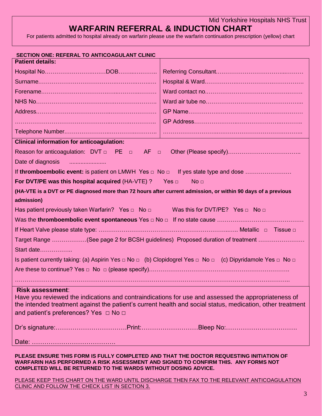Mid Yorkshire Hospitals NHS Trust

### **WARFARIN REFERRAL & INDUCTION CHART**

For patients admitted to hospital already on warfarin please use the warfarin continuation prescription (yellow) chart

| SECTION ONE: REFERAL TO ANTICOAGULANT CLINIC                                                                                                                                                                                                           |                 |  |  |  |
|--------------------------------------------------------------------------------------------------------------------------------------------------------------------------------------------------------------------------------------------------------|-----------------|--|--|--|
| <b>Patient details:</b>                                                                                                                                                                                                                                |                 |  |  |  |
|                                                                                                                                                                                                                                                        |                 |  |  |  |
|                                                                                                                                                                                                                                                        |                 |  |  |  |
|                                                                                                                                                                                                                                                        |                 |  |  |  |
|                                                                                                                                                                                                                                                        |                 |  |  |  |
|                                                                                                                                                                                                                                                        |                 |  |  |  |
|                                                                                                                                                                                                                                                        |                 |  |  |  |
|                                                                                                                                                                                                                                                        |                 |  |  |  |
| <b>Clinical information for anticoagulation:</b>                                                                                                                                                                                                       |                 |  |  |  |
| Reason for anticoagulation: $DVT \Box$ PE $\Box$ AF $\Box$                                                                                                                                                                                             |                 |  |  |  |
| Date of diagnosis                                                                                                                                                                                                                                      |                 |  |  |  |
|                                                                                                                                                                                                                                                        |                 |  |  |  |
| For DVT/PE was this hospital acquired (HA-VTE) ? Yes $\Box$                                                                                                                                                                                            | No <sub>□</sub> |  |  |  |
| (HA-VTE is a DVT or PE diagnosed more than 72 hours after current admission, or within 90 days of a previous                                                                                                                                           |                 |  |  |  |
| admission)                                                                                                                                                                                                                                             |                 |  |  |  |
| Has patient previously taken Warfarin? Yes $\Box$ No $\Box$ Was this for DVT/PE? Yes $\Box$ No $\Box$                                                                                                                                                  |                 |  |  |  |
|                                                                                                                                                                                                                                                        |                 |  |  |  |
|                                                                                                                                                                                                                                                        |                 |  |  |  |
| Target Range (See page 2 for BCSH guidelines) Proposed duration of treatment                                                                                                                                                                           |                 |  |  |  |
| Start date                                                                                                                                                                                                                                             |                 |  |  |  |
| Is patient currently taking: (a) Aspirin Yes $\Box$ No $\Box$ (b) Clopidogrel Yes $\Box$ No $\Box$ (c) Dipyridamole Yes $\Box$ No $\Box$                                                                                                               |                 |  |  |  |
|                                                                                                                                                                                                                                                        |                 |  |  |  |
|                                                                                                                                                                                                                                                        |                 |  |  |  |
| <b>Risk assessment:</b>                                                                                                                                                                                                                                |                 |  |  |  |
| Have you reviewed the indications and contraindications for use and assessed the appropriateness of                                                                                                                                                    |                 |  |  |  |
| the intended treatment against the patient's current health and social status, medication, other treatment                                                                                                                                             |                 |  |  |  |
| and patient's preferences? Yes $\Box$ No $\Box$                                                                                                                                                                                                        |                 |  |  |  |
|                                                                                                                                                                                                                                                        |                 |  |  |  |
|                                                                                                                                                                                                                                                        |                 |  |  |  |
| PLEASE ENSURE THIS FORM IS FULLY COMPLETED AND THAT THE DOCTOR REQUESTING INITIATION OF<br>WARFARIN HAS PERFORMED A RISK ASSESSMENT AND SIGNED TO CONFIRM THIS. ANY FORMS NOT<br><b>COMPLETED WILL BE RETURNED TO THE WARDS WITHOUT DOSING ADVICE.</b> |                 |  |  |  |

PLEASE KEEP THIS CHART ON THE WARD UNTIL DISCHARGE THEN FAX TO THE RELEVANT ANTICOAGULATION CLINIC AND FOLLOW THE CHECK LIST IN SECTION 3.